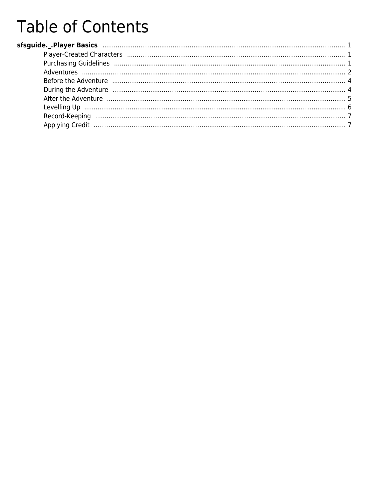# **Table of Contents**

| Before the Adventure manufacture and a 4                                                            |  |
|-----------------------------------------------------------------------------------------------------|--|
| During the Adventure manufacture and a 4                                                            |  |
| After the Adventure music music contracto the contractor of the contractor of the Adventure music 5 |  |
|                                                                                                     |  |
|                                                                                                     |  |
|                                                                                                     |  |
|                                                                                                     |  |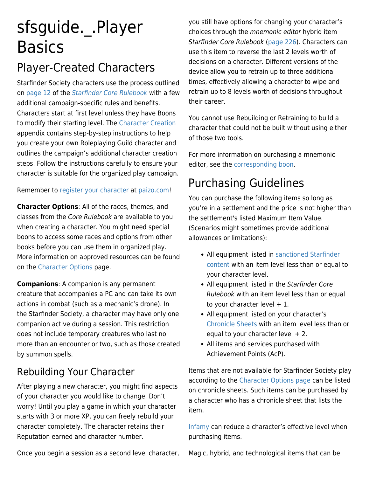# <span id="page-1-0"></span>sfsguide.\_.Player **Basics**

### Player-Created Characters

Starfinder Society characters use the process outlined on [page 12](http://aonsrd.com/Rules.aspx?ID=30) of the [Starfinder Core Rulebook](https://paizo.com/products/btpy9ssr?Starfinder-Core-Rulebook) with a few additional campaign-specific rules and benefits. Characters start at first level unless they have Boons to modify their starting level. The [Character Creation](https://www.organizedplayfoundation.org/Lorespire/sfsguide._.Character-Creation) appendix contains step-by-step instructions to help you create your own Roleplaying Guild character and outlines the campaign's additional character creation steps. Follow the instructions carefully to ensure your character is suitable for the organized play campaign.

Remember to [register your character](https://www.organizedplayfoundation.org/Lorespire/sfsguide._.Welcome-to-Starfinder-Society#Register_for_Organized_Play) at [paizo.com!](https://paizo.com/)

**Character Options**: All of the races, themes, and classes from the Core Rulebook are available to you when creating a character. You might need special boons to access some races and options from other books before you can use them in organized play. More information on approved resources can be found on the [Character Options](https://paizo.com/starfindersociety/characteroptions) page.

**Companions**: A companion is any permanent creature that accompanies a PC and can take its own actions in combat (such as a mechanic's drone). In the Starfinder Society, a character may have only one companion active during a session. This restriction does not include temporary creatures who last no more than an encounter or two, such as those created by summon spells.

### Rebuilding Your Character

After playing a new character, you might find aspects of your character you would like to change. Don't worry! Until you play a game in which your character starts with 3 or more XP, you can freely rebuild your character completely. The character retains their Reputation earned and character number.

you still have options for changing your character's choices through the mnemonic editor hybrid item Starfinder Core Rulebook [\(page 226\)](https://aonsrd.com/HybridItems.aspx?ItemName=Mk%201&Family=Mnemonic%20Editor). Characters can use this item to reverse the last 2 levels worth of decisions on a character. Different versions of the device allow you to retrain up to three additional times, effectively allowing a character to wipe and retrain up to 8 levels worth of decisions throughout their career.

You cannot use Rebuilding or Retraining to build a character that could not be built without using either of those two tools.

For more information on purchasing a mnemonic editor, see the [corresponding boon](https://www.organizedplayfoundation.org/Lorespire/sfsguide._.Factions-and-Reputation#Mnemonic_Editor).

### Purchasing Guidelines

You can purchase the following items so long as you're in a settlement and the price is not higher than the settlement's listed Maximum Item Value. (Scenarios might sometimes provide additional allowances or limitations):

- All equipment listed in [sanctioned Starfinder](https://paizo.com/starfindersociety/characteroptions) [content](https://paizo.com/starfindersociety/characteroptions) with an item level less than or equal to your character level.
- All equipment listed in the Starfinder Core Rulebook with an item level less than or equal to your character level  $+1$ .
- All equipment listed on your character's [Chronicle Sheets](https://www.organizedplayfoundation.org/Lorespire/sfsguide._.Player-Basics#Record_Keeping) with an item level less than or equal to your character level  $+2$ .
- All items and services purchased with Achievement Points (AcP).

Items that are not available for Starfinder Society play according to the [Character Options page](https://paizo.com/starfindersociety/characteroptions) can be listed on chronicle sheets. Such items can be purchased by a character who has a chronicle sheet that lists the item.

[Infamy](https://www.organizedplayfoundation.org/Lorespire/sfsguide._.Table-Variation-and-Creative-Solutions#Ethical_Infractions) can reduce a character's effective level when purchasing items.

Once you begin a session as a second level character,

Magic, hybrid, and technological items that can be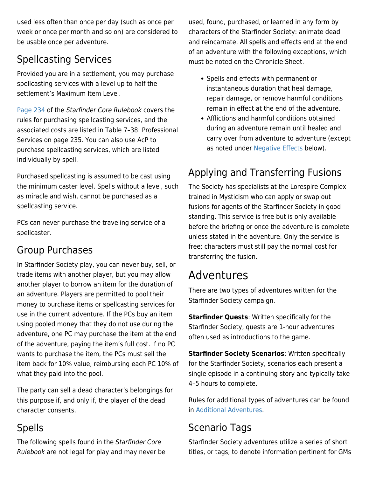<span id="page-2-0"></span>used less often than once per day (such as once per week or once per month and so on) are considered to be usable once per adventure.

### Spellcasting Services

Provided you are in a settlement, you may purchase spellcasting services with a level up to half the settlement's Maximum Item Level.

[Page 234](https://www.aonsrd.com/OtherItems.aspx?Category=Professional%20Services) of the Starfinder Core Rulebook covers the rules for purchasing spellcasting services, and the associated costs are listed in Table 7–38: Professional Services on page 235. You can also use AcP to purchase spellcasting services, which are listed individually by spell.

Purchased spellcasting is assumed to be cast using the minimum caster level. Spells without a level, such as miracle and wish, cannot be purchased as a spellcasting service.

PCs can never purchase the traveling service of a spellcaster.

#### Group Purchases

In Starfinder Society play, you can never buy, sell, or trade items with another player, but you may allow another player to borrow an item for the duration of an adventure. Players are permitted to pool their money to purchase items or spellcasting services for use in the current adventure. If the PCs buy an item using pooled money that they do not use during the adventure, one PC may purchase the item at the end of the adventure, paying the item's full cost. If no PC wants to purchase the item, the PCs must sell the item back for 10% value, reimbursing each PC 10% of what they paid into the pool.

The party can sell a dead character's belongings for this purpose if, and only if, the player of the dead character consents.

### Spells

The following spells found in the Starfinder Core Rulebook are not legal for play and may never be used, found, purchased, or learned in any form by characters of the Starfinder Society: animate dead and reincarnate. All spells and effects end at the end of an adventure with the following exceptions, which must be noted on the Chronicle Sheet.

- Spells and effects with permanent or instantaneous duration that heal damage, repair damage, or remove harmful conditions remain in effect at the end of the adventure.
- Afflictions and harmful conditions obtained during an adventure remain until healed and carry over from adventure to adventure (except as noted under [Negative Effects](#page--1-0) below).

### Applying and Transferring Fusions

The Society has specialists at the Lorespire Complex trained in Mysticism who can apply or swap out fusions for agents of the Starfinder Society in good standing. This service is free but is only available before the briefing or once the adventure is complete unless stated in the adventure. Only the service is free; characters must still pay the normal cost for transferring the fusion.

### Adventures

There are two types of adventures written for the Starfinder Society campaign.

**Starfinder Quests**: Written specifically for the Starfinder Society, quests are 1-hour adventures often used as introductions to the game.

**Starfinder Society Scenarios**: Written specifically for the Starfinder Society, scenarios each present a single episode in a continuing story and typically take 4–5 hours to complete.

Rules for additional types of adventures can be found in [Additional Adventures.](https://www.organizedplayfoundation.org/Lorespire/sfsguide._.Additional-Adventures)

#### Scenario Tags

Starfinder Society adventures utilize a series of short titles, or tags, to denote information pertinent for GMs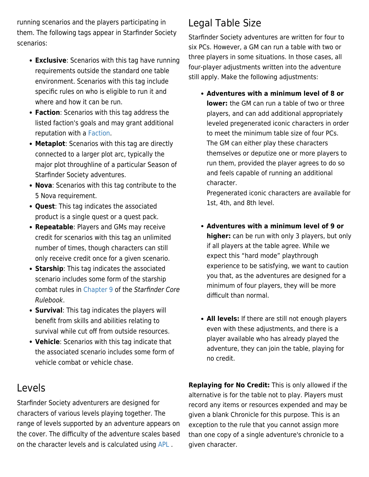running scenarios and the players participating in them. The following tags appear in Starfinder Society scenarios:

- **Exclusive**: Scenarios with this tag have running requirements outside the standard one table environment. Scenarios with this tag include specific rules on who is eligible to run it and where and how it can be run.
- **Faction**: Scenarios with this tag address the listed faction's goals and may grant additional reputation with a [Faction.](https://www.organizedplayfoundation.org/Lorespire/sfsguide._.Factions-and-Reputation)
- **Metaplot**: Scenarios with this tag are directly connected to a larger plot arc, typically the major plot throughline of a particular Season of Starfinder Society adventures.
- **Nova**: Scenarios with this tag contribute to the 5 Nova requirement.
- **Quest**: This tag indicates the associated product is a single quest or a quest pack.
- **Repeatable**: Players and GMs may receive credit for scenarios with this tag an unlimited number of times, though characters can still only receive credit once for a given scenario.
- **Starship**: This tag indicates the associated scenario includes some form of the starship combat rules in [Chapter 9](https://aonsrd.com/Rules.aspx?ID=192) of the Starfinder Core Rulebook.
- **Survival**: This tag indicates the players will benefit from skills and abilities relating to survival while cut off from outside resources.
- **Vehicle**: Scenarios with this tag indicate that the associated scenario includes some form of vehicle combat or vehicle chase.

### Levels

Starfinder Society adventurers are designed for characters of various levels playing together. The range of levels supported by an adventure appears on the cover. The difficulty of the adventure scales based on the character levels and is calculated using [APL](https://www.organizedplayfoundation.org/Lorespire/sfsguide._.Game-Master-Basics#Average_Party_Level) .

### Legal Table Size

Starfinder Society adventures are written for four to six PCs. However, a GM can run a table with two or three players in some situations. In those cases, all four-player adjustments written into the adventure still apply. Make the following adjustments:

**Adventures with a minimum level of 8 or lower:** the GM can run a table of two or three players, and can add additional appropriately leveled pregenerated iconic characters in order to meet the minimum table size of four PCs. The GM can either play these characters themselves or deputize one or more players to run them, provided the player agrees to do so and feels capable of running an additional character.

Pregenerated iconic characters are available for 1st, 4th, and 8th level.

- **Adventures with a minimum level of 9 or higher:** can be run with only 3 players, but only if all players at the table agree. While we expect this "hard mode" playthrough experience to be satisfying, we want to caution you that, as the adventures are designed for a minimum of four players, they will be more difficult than normal.
- **All levels:** If there are still not enough players even with these adjustments, and there is a player available who has already played the adventure, they can join the table, playing for no credit.

**Replaying for No Credit:** This is only allowed if the alternative is for the table not to play. Players must record any items or resources expended and may be given a blank Chronicle for this purpose. This is an exception to the rule that you cannot assign more than one copy of a single adventure's chronicle to a given character.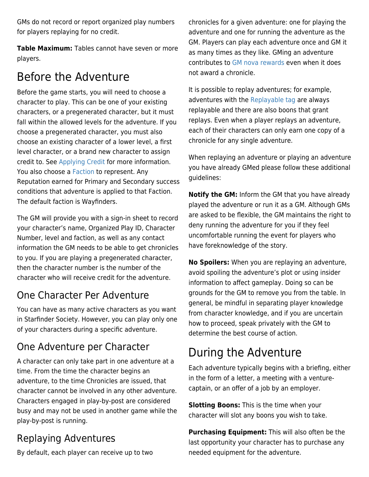<span id="page-4-0"></span>GMs do not record or report organized play numbers for players replaying for no credit.

**Table Maximum:** Tables cannot have seven or more players.

### Before the Adventure

Before the game starts, you will need to choose a character to play. This can be one of your existing characters, or a pregenerated character, but it must fall within the allowed levels for the adventure. If you choose a pregenerated character, you must also choose an existing character of a lower level, a first level character, or a brand new character to assign credit to. See [Applying Credit](#page--1-0) for more information. You also choose a [Faction t](https://www.organizedplayfoundation.org/Lorespire/sfsguide._.The-Pact-Worlds#Factions)o represent. Any Reputation earned for Primary and Secondary success conditions that adventure is applied to that Faction. The default faction is Wayfinders.

The GM will provide you with a sign-in sheet to record your character's name, Organized Play ID, Character Number, level and faction, as well as any contact information the GM needs to be able to get chronicles to you. If you are playing a pregenerated character, then the character number is the number of the character who will receive credit for the adventure.

#### One Character Per Adventure

You can have as many active characters as you want in Starfinder Society. However, you can play only one of your characters during a specific adventure.

#### One Adventure per Character

A character can only take part in one adventure at a time. From the time the character begins an adventure, to the time Chronicles are issued, that character cannot be involved in any other adventure. Characters engaged in play-by-post are considered busy and may not be used in another game while the play-by-post is running.

### Replaying Adventures

By default, each player can receive up to two

chronicles for a given adventure: one for playing the adventure and one for running the adventure as the GM. Players can play each adventure once and GM it as many times as they like. GMing an adventure contributes to [GM nova rewards](https://www.organizedplayfoundation.org/Lorespire/sfsguide._.GM-Rewards#GM_Novas) even when it does not award a chronicle.

It is possible to replay adventures; for example, adventures with the [Replayable tag](https://www.organizedplayfoundation.org/Lorespire/sfsguide._.Player-Basics#Scenario_Tags) are always replayable and there are also boons that grant replays. Even when a player replays an adventure, each of their characters can only earn one copy of a chronicle for any single adventure.

When replaying an adventure or playing an adventure you have already GMed please follow these additional guidelines:

**Notify the GM:** Inform the GM that you have already played the adventure or run it as a GM. Although GMs are asked to be flexible, the GM maintains the right to deny running the adventure for you if they feel uncomfortable running the event for players who have foreknowledge of the story.

**No Spoilers:** When you are replaying an adventure, avoid spoiling the adventure's plot or using insider information to affect gameplay. Doing so can be grounds for the GM to remove you from the table. In general, be mindful in separating player knowledge from character knowledge, and if you are uncertain how to proceed, speak privately with the GM to determine the best course of action.

### During the Adventure

Each adventure typically begins with a briefing, either in the form of a letter, a meeting with a venturecaptain, or an offer of a job by an employer.

**Slotting Boons:** This is the time when your character will slot any boons you wish to take.

**Purchasing Equipment:** This will also often be the last opportunity your character has to purchase any needed equipment for the adventure.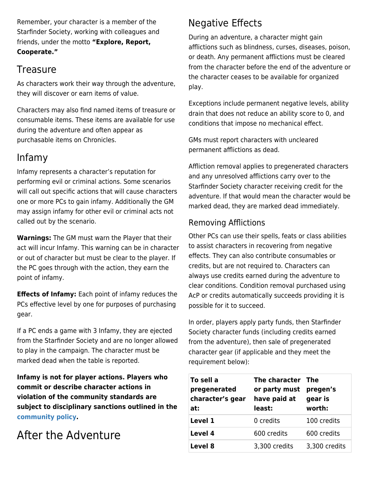<span id="page-5-0"></span>Remember, your character is a member of the Starfinder Society, working with colleagues and friends, under the motto **"Explore, Report, Cooperate."**

#### **Treasure**

As characters work their way through the adventure, they will discover or earn items of value.

Characters may also find named items of treasure or consumable items. These items are available for use during the adventure and often appear as purchasable items on Chronicles.

#### Infamy

Infamy represents a character's reputation for performing evil or criminal actions. Some scenarios will call out specific actions that will cause characters one or more PCs to gain infamy. Additionally the GM may assign infamy for other evil or criminal acts not called out by the scenario.

**Warnings:** The GM must warn the Player that their act will incur Infamy. This warning can be in character or out of character but must be clear to the player. If the PC goes through with the action, they earn the point of infamy.

**Effects of Infamy:** Each point of infamy reduces the PCs effective level by one for purposes of purchasing gear.

If a PC ends a game with 3 Infamy, they are ejected from the Starfinder Society and are no longer allowed to play in the campaign. The character must be marked dead when the table is reported.

**Infamy is not for player actions. Players who commit or describe character actions in violation of the community standards are subject to disciplinary sanctions outlined in the [community policy.](https://www.organizedplayfoundation.org/Lorespire/sfsguide._.Community-Standards-and-Expectations)**

### After the Adventure

### Negative Effects

During an adventure, a character might gain afflictions such as blindness, curses, diseases, poison, or death. Any permanent afflictions must be cleared from the character before the end of the adventure or the character ceases to be available for organized play.

Exceptions include permanent negative levels, ability drain that does not reduce an ability score to 0, and conditions that impose no mechanical effect.

GMs must report characters with uncleared permanent afflictions as dead.

Affliction removal applies to pregenerated characters and any unresolved afflictions carry over to the Starfinder Society character receiving credit for the adventure. If that would mean the character would be marked dead, they are marked dead immediately.

#### Removing Afflictions

Other PCs can use their spells, feats or class abilities to assist characters in recovering from negative effects. They can also contribute consumables or credits, but are not required to. Characters can always use credits earned during the adventure to clear conditions. Condition removal purchased using AcP or credits automatically succeeds providing it is possible for it to succeed.

In order, players apply party funds, then Starfinder Society character funds (including credits earned from the adventure), then sale of pregenerated character gear (if applicable and they meet the requirement below):

| To sell a<br>pregenerated<br>character's gear<br>at: | The character The<br>or party must<br>have paid at<br>least: | pregen's<br>gear is<br>worth: |
|------------------------------------------------------|--------------------------------------------------------------|-------------------------------|
| Level 1                                              | 0 credits                                                    | 100 credits                   |
| Level 4                                              | 600 credits                                                  | 600 credits                   |
| Level 8                                              | 3,300 credits                                                | 3,300 credits                 |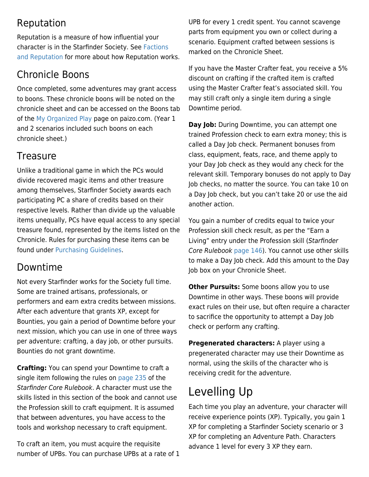#### <span id="page-6-0"></span>Reputation

Reputation is a measure of how influential your character is in the Starfinder Society. See [Factions](https://www.organizedplayfoundation.org/Lorespire/sfsguide._.Factions-and-Reputation) [and Reputation](https://www.organizedplayfoundation.org/Lorespire/sfsguide._.Factions-and-Reputation) for more about how Reputation works.

### Chronicle Boons

Once completed, some adventures may grant access to boons. These chronicle boons will be noted on the chronicle sheet and can be accessed on the Boons tab of the [My Organized Play](https://paizo.com/organizedPlay/myAccount) page on paizo.com. (Year 1 and 2 scenarios included such boons on each chronicle sheet.)

#### **Treasure**

Unlike a traditional game in which the PCs would divide recovered magic items and other treasure among themselves, Starfinder Society awards each participating PC a share of credits based on their respective levels. Rather than divide up the valuable items unequally, PCs have equal access to any special treasure found, represented by the items listed on the Chronicle. Rules for purchasing these items can be found under [Purchasing Guidelines.](#page--1-0)

#### Downtime

Not every Starfinder works for the Society full time. Some are trained artisans, professionals, or performers and earn extra credits between missions. After each adventure that grants XP, except for Bounties, you gain a period of Downtime before your next mission, which you can use in one of three ways per adventure: crafting, a day job, or other pursuits. Bounties do not grant downtime.

**Crafting:** You can spend your Downtime to craft a single item following the rules on [page 235](http://aonsrd.com/Rules.aspx?ID=92) of the Starfinder Core Rulebook. A character must use the skills listed in this section of the book and cannot use the Profession skill to craft equipment. It is assumed that between adventures, you have access to the tools and workshop necessary to craft equipment.

To craft an item, you must acquire the requisite number of UPBs. You can purchase UPBs at a rate of 1 UPB for every 1 credit spent. You cannot scavenge parts from equipment you own or collect during a scenario. Equipment crafted between sessions is marked on the Chronicle Sheet.

If you have the Master Crafter feat, you receive a 5% discount on crafting if the crafted item is crafted using the Master Crafter feat's associated skill. You may still craft only a single item during a single Downtime period.

**Day Job:** During Downtime, you can attempt one trained Profession check to earn extra money; this is called a Day Job check. Permanent bonuses from class, equipment, feats, race, and theme apply to your Day Job check as they would any check for the relevant skill. Temporary bonuses do not apply to Day Job checks, no matter the source. You can take 10 on a Day Job check, but you can't take 20 or use the aid another action.

You gain a number of credits equal to twice your Profession skill check result, as per the "Earn a Living" entry under the Profession skill (Starfinder Core Rulebook [page 146](http://aonsrd.com/Skills.aspx?ItemName=Profession)). You cannot use other skills to make a Day Job check. Add this amount to the Day Job box on your Chronicle Sheet.

**Other Pursuits:** Some boons allow you to use Downtime in other ways. These boons will provide exact rules on their use, but often require a character to sacrifice the opportunity to attempt a Day Job check or perform any crafting.

**Pregenerated characters:** A player using a pregenerated character may use their Downtime as normal, using the skills of the character who is receiving credit for the adventure.

## Levelling Up

Each time you play an adventure, your character will receive experience points (XP). Typically, you gain 1 XP for completing a Starfinder Society scenario or 3 XP for completing an Adventure Path. Characters advance 1 level for every 3 XP they earn.